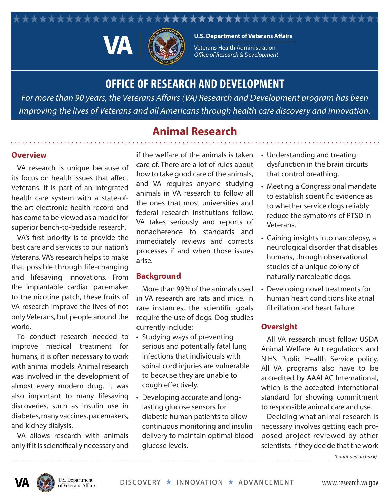#### \*\*\*\*\*\*\*\*\*\*\*\*\*\*\*\*\* \*\*\*\*\*\*\*\*



**U.S. Department of Veterans Affairs** 

Veterans Health Administration **Office of Research & Development** 

# **OFFICE OF RESEARCH AND DEVELOPMENT**

*For more than 90 years, the Veterans Affairs (VA) Research and Development program has been improving the lives of Veterans and all Americans through health care discovery and innovation.*

## **Animal Research**

### **Overview**

VA research is unique because of its focus on health issues that affect Veterans. It is part of an integrated health care system with a state-ofthe-art electronic health record and has come to be viewed as a model for superior bench-to-bedside research.

VA's first priority is to provide the best care and services to our nation's Veterans. VA's research helps to make that possible through life-changing and lifesaving innovations. From the implantable cardiac pacemaker to the nicotine patch, these fruits of VA research improve the lives of not only Veterans, but people around the world.

To conduct research needed to improve medical treatment for humans, it is often necessary to work with animal models. Animal research was involved in the development of almost every modern drug. It was also important to many lifesaving discoveries, such as insulin use in diabetes, many vaccines, pacemakers, and kidney dialysis.

VA allows research with animals only if it is scientifically necessary and

if the welfare of the animals is taken care of. There are a lot of rules about how to take good care of the animals, and VA requires anyone studying animals in VA research to follow all the ones that most universities and federal research institutions follow. VA takes seriously and reports of nonadherence to standards and immediately reviews and corrects processes if and when those issues arise.

#### **Background**

More than 99% of the animals used in VA research are rats and mice. In rare instances, the scientific goals require the use of dogs. Dog studies currently include:

- Studying ways of preventing serious and potentially fatal lung infections that individuals with spinal cord injuries are vulnerable to because they are unable to cough effectively.
- Developing accurate and longlasting glucose sensors for diabetic human patients to allow continuous monitoring and insulin delivery to maintain optimal blood glucose levels.
- Understanding and treating dysfunction in the brain circuits that control breathing.
- Meeting a Congressional mandate to establish scientific evidence as to whether service dogs reliably reduce the symptoms of PTSD in Veterans.
- Gaining insights into narcolepsy, a neurological disorder that disables humans, through observational studies of a unique colony of naturally narcoleptic dogs.
- Developing novel treatments for human heart conditions like atrial fibrillation and heart failure.

## **Oversight**

All VA research must follow USDA Animal Welfare Act regulations and NIH's Public Health Service policy. All VA programs also have to be accredited by AAALAC International, which is the accepted international standard for showing commitment to responsible animal care and use.

Deciding what animal research is necessary involves getting each proposed project reviewed by other scientists. If they decide that the work

*(Continued on back)*